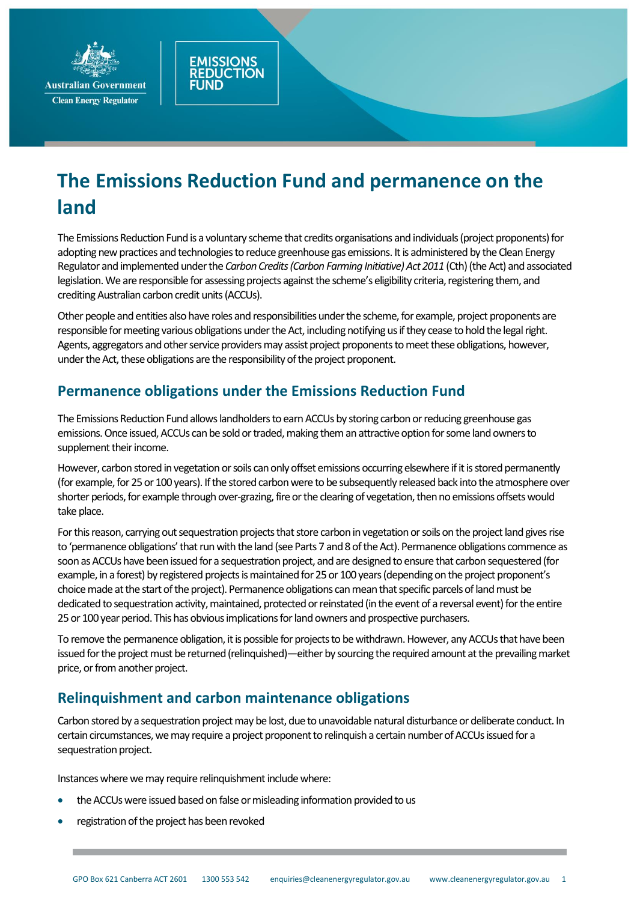

**Clean Energy Regulator** 

## **The Emissions Reduction Fund and permanence on the land**

The Emissions Reduction Fund is a voluntary scheme that credits organisations and individuals (project proponents) for adopting new practices and technologies to reduce greenhouse gas emissions. It is administered by the Clean Energy Regulator and implemented under the *Carbon Credits (Carbon Farming Initiative) Act 2011* (Cth) (the Act) and associated legislation. We are responsible for assessing projects against the scheme's eligibility criteria, registering them, and crediting Australian carbon credit units (ACCUs).

Other people and entities also have roles and responsibilities under the scheme, for example, project proponents are responsible for meeting various obligations under the Act, including notifying usif they cease to hold the legal right. Agents, aggregators and other service providers may assist project proponents to meet these obligations, however, under the Act, these obligations are the responsibility of the project proponent.

## **Permanence obligations under the Emissions Reduction Fund**

**MISSIONS** 

**TION** 

The Emissions Reduction Fund allows landholders to earn ACCUs by storing carbon or reducing greenhouse gas emissions. Once issued, ACCUs can be sold or traded, making them an attractive option for some land owners to supplement their income.

However, carbon stored in vegetation or soils can only offset emissions occurring elsewhere if it is stored permanently (for example, for 25 or 100 years). If the stored carbon were to be subsequently released back into the atmosphere over shorter periods, for example through over-grazing, fire or the clearing of vegetation, then no emissions offsets would take place.

For this reason, carrying out sequestration projects that store carbon in vegetation or soils on the project land gives rise to 'permanence obligations' that run with the land (see Parts 7 and 8 of the Act). Permanence obligations commence as soon as ACCUs have been issued for a sequestration project, and are designed to ensure that carbon sequestered (for example, in a forest) by registered projects is maintained for 25 or 100 years (depending on the project proponent's choicemade at the start of the project). Permanence obligations can mean that specific parcels of land must be dedicated to sequestration activity, maintained, protected or reinstated (in the event of a reversal event) for the entire 25 or 100 year period. This has obvious implications for land owners and prospective purchasers.

To remove the permanence obligation, it is possible for projects to be withdrawn. However, any ACCUs that have been issued for the project must be returned (relinquished)—either by sourcing the required amount at the prevailing market price, or from another project.

## **Relinquishment and carbon maintenance obligations**

Carbon stored by a sequestration project may be lost, due to unavoidable natural disturbance or deliberate conduct. In certain circumstances, wemay require a project proponent to relinquish a certain number of ACCUs issued for a sequestration project.

Instances where wemay require relinquishment include where:

- the ACCUs were issued based on false or misleading information provided to us
- registration of the project has been revoked